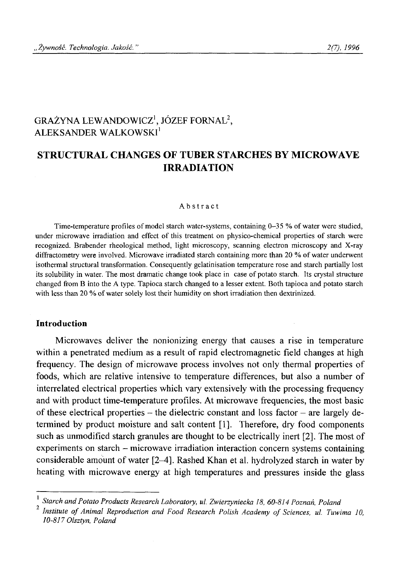# GRAŻYNA LEWANDOWICZ<sup>1</sup>, JÓZEF FORNAL<sup>2</sup>, ALEKSANDER WALKOWSKI<sup>1</sup>

## **STRUCTURAL CHANGES OF TUBER STARCHES BY MICROWAVE IRRADIATION**

#### **Abstract**

Time-temperature profiles of model starch water-systems, containing 0-35 % of water were studied, under microwave irradiation and effect of this treatment on physico-chemical properties of starch were **recognized. Brabender rheological method, light microscopy, scanning electron microscopy and X-ray diffractometry were involved. Microwave irradiated starch containing more than 20 % o f water underwent isothermal structural transformation. Consequently gelatinisation temperature rose and starch partially lost** its solubility in water. The most dramatic change took place in case of potato starch. Its crystal structure **changed from B into the A type. Tapioca starch changed to a lesser extent. Both tapioca and potato starch** with less than 20 % of water solely lost their humidity on short irradiation then dextrinized.

#### **Introduction**

Microwaves deliver the nonionizing energy that causes a rise in temperature within a penetrated medium as a result of rapid electromagnetic field changes at high frequency. The design of microwave process involves not only thermal properties of foods, which are relative intensive to temperature differences, but also a number of interrelated electrical properties which vary extensively with the processing frequency and with product time-temperature profiles. At microwave frequencies, the most basic of these electrical properties – the dielectric constant and loss factor – are largely determined by product moisture and salt content [1]. Therefore, dry food components such as unmodified starch granules are thought to be electrically inert [2]. The most of experiments on starch - microwave irradiation interaction concern systems containing considerable amount of water [2-4], Rashed Khan et al. hydrolyzed starch in water by heating with microwave energy at high temperatures and pressures inside the glass

**<sup>1</sup>** *Starch and Potato Products Research Laboratory, ul. Zwierzyniecka 18, 60-814 Poznań, Poland*

*Institute of Animal Reproduction and Food Research Polish Academy of Sciences, ul. Tuwima 10, 10-817 Olsztyn, Poland*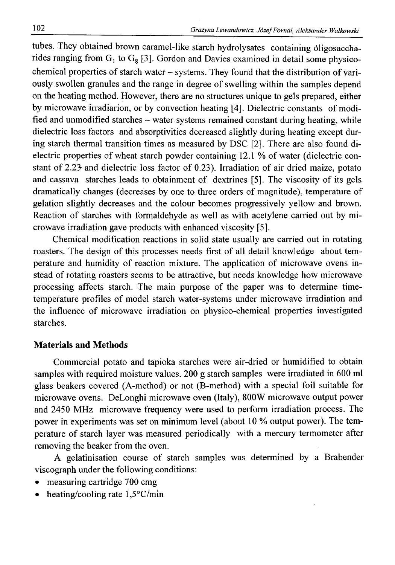tubes. They obtained brown caramel-like starch hydrolysates containing óligosaccharides ranging from  $G_1$  to  $G_8$  [3]. Gordon and Davies examined in detail some physicochemical properties of starch water - systems. They found that the distribution of variously swollen granules and the range in degree of swelling within the samples depend on the heating method. However, there are no structures unique to gels prepared, either by microwave irradiarion, or by convection heating [4]. Dielectric constants of modified and unmodified starches – water systems remained constant during heating, while dielectric loss factors and absorptivities decreased slightly during heating except during starch thermal transition times as measured by DSC [2]. There are also found dielectric properties of wheat starch powder containing 12.1 % of water (dielectric constant of 2.23- and dielectric loss factor of 0.23). Irradiation of air dried maize, potato and cassava starches leads to obtainment of dextrines [5]. The viscosity of its gels dramatically changes (decreases by one to three orders of magnitude), temperature of gelation slightly decreases and the colour becomes progressively yellow and brown. Reaction of starches with formaldehyde as well as with acetylene carried out by microwave irradiation gave products with enhanced viscosity [5].

Chemical modification reactions in solid state usually are carried out in rotating roasters. The design of this processes needs first of all detail knowledge about temperature and humidity of reaction mixture. The application of microwave ovens instead of rotating roasters seems to be attractive, but needs knowledge how microwave processing affects starch. The main purpose of the paper was to determine timetemperature profiles of model starch water-systems under microwave irradiation and the influence of microwave irradiation on physico-chemical properties investigated starches.

### **Materials and Methods**

Commercial potato and tapioka starches were air-dried or humidified to obtain samples with required moisture values. 200 g starch samples were irradiated in 600 ml glass beakers covered (A-method) or not (B-method) with a special foil suitable for microwave ovens. DeLonghi microwave oven (Italy), 800W microwave output power and 2450 MHz microwave frequency were used to perform irradiation process. The power in experiments was set on minimum level (about 10 % output power). The temperature of starch layer was measured periodically with a mercury termometer after removing the beaker from the oven.

A gelatinisation course of starch samples was determined by a Brabender viscograph under the following conditions:

- measuring cartridge 700 cmg
- heating/cooling rate 1,5°C/min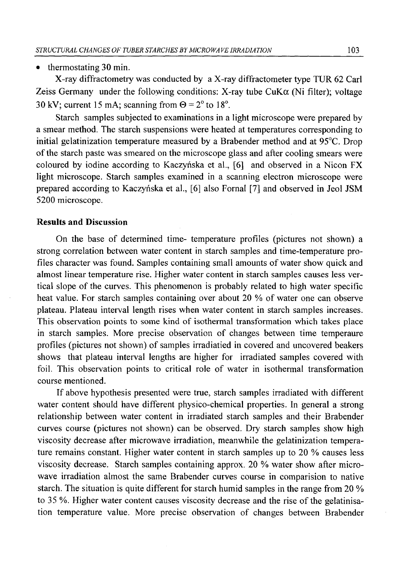#### • thermostating 30 min.

X-ray diffractometry was conducted by a X-ray diffractometer type TUR 62 Carl Zeiss Germany under the following conditions: X-ray tube  $CuK\alpha$  (Ni filter); voltage 30 kV; current 15 mA; scanning from  $\Theta = 2^{\circ}$  to 18°.

Starch samples subjected to examinations in a light microscope were prepared by a smear method. The starch suspensions were heated at temperatures corresponding to initial gelatinization temperature measured by a Brabender method and at 95°C. Drop of the starch paste was smeared on the microscope glass and after cooling smears were coloured by iodine according to Kaczyńska et al., [6] and observed in a Nicon FX light microscope. Starch samples examined in a scanning electron microscope were prepared according to Kaczyńska et al., [6] also Fornal [7] and observed in Jeol JSM 5200 microscope.

#### **Results and Discussion**

On the base of determined time- temperature profiles (pictures not shown) a strong correlation between water content in starch samples and time-temperature profiles character was found. Samples containing small amounts of water show quick and almost linear temperature rise. Higher water content in starch samples causes less vertical slope of the curves. This phenomenon is probably related to high water specific heat value. For starch samples containing over about 20 *%* of water one can observe plateau. Plateau interval length rises when water content in starch samples increases. This observation points to some kind of isothermal transformation which takes place in starch samples. More precise observation of changes between time temperaure profiles (pictures not shown) of samples irradiatied in covered and uncovered beakers shows that plateau interval lengths are higher for irradiated samples covered with foil. This observation points to critical role of water in isothermal transformation course mentioned.

If above hypothesis presented were true, starch samples irradiated with different water content should have different physico-chemical properties. In general a strong relationship between water content in irradiated starch samples and their Brabender curves course (pictures not shown) can be observed. Dry starch samples show high viscosity decrease after microwave irradiation, meanwhile the gelatinization temperature remains constant. Higher water content in starch samples up to 20 % causes less viscosity decrease. Starch samples containing approx. 20 % water show after microwave irradiation almost the same Brabender curves course in comparision to native starch. The situation is quite different for starch humid samples in the range from 20 % to 35 %. Higher water content causes viscosity decrease and the rise of the gelatinisation temperature value. More precise observation of changes between Brabender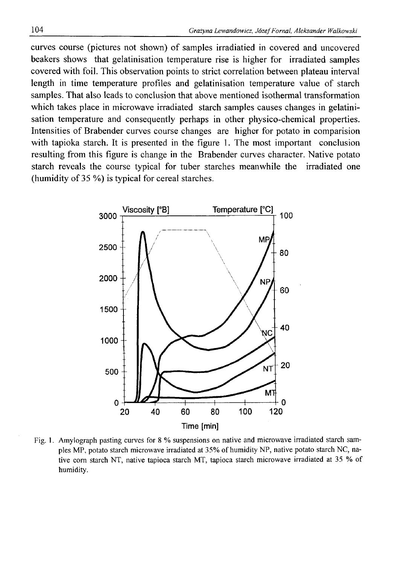curves course (pictures not shown) of samples irradiatied in covered and uncovered beakers shows that gelatinisation temperature rise is higher for irradiated samples covered with foil. This observation points to strict correlation between plateau interval length in time temperature profiles and gelatinisation temperature value of starch samples. That also leads to conclusion that above mentioned isothermal transformation which takes place in microwave irradiated starch samples causes changes in gelatinisation temperature and consequently perhaps in other physico-chemical properties. Intensities of Brabender curves course changes are higher for potato in comparision with tapioka starch. It is presented in the figure 1. The most important conclusion resulting from this figure is change in the Brabender curves character. Native potato starch reveals the course typical for tuber starches meanwhile the irradiated one (humidity of 35 %) is typical for cereal starches.



**Fig. 1. Amylograph pasting curves for 8 % suspensions on native and microwave irradiated starch samples MP, potato starch microwave irradiated at 35% of humidity NP, native potato starch NC, native corn starch NT, native tapioca starch MT, tapioca starch microwave irradiated at 35 % of humidity.**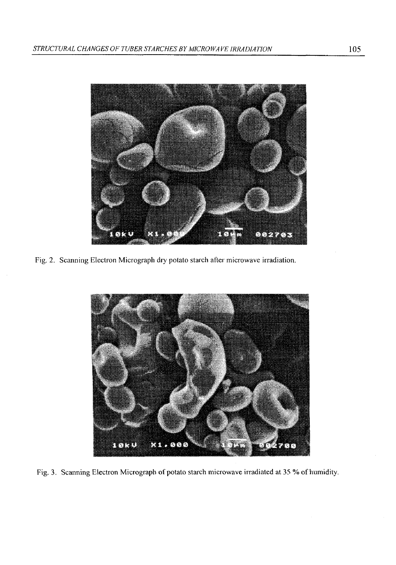

Fig. 2. Scanning Electron Micrograph dry potato starch after microwave irradiation.



**Fig. 3. Scanning Electron Micrograph of potato starch microwave irradiated at 35 % of humidity.**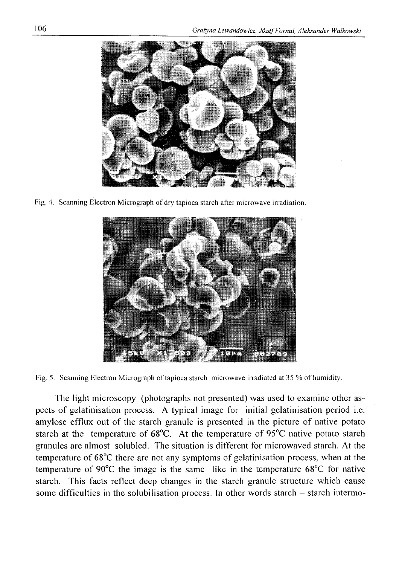

Fig. 4. Scanning Electron Micrograph of dry tapioca starch after microwave irradiation.



**Fig. 5. Scanning Electron Micrograph of tapioca starch microwave irradiated at 35 % o f humidity.**

The light microscopy (photographs not presented) was used to examine other aspects of gelatinisation process. A typical image for initial gelatinisation period i.e. amylose efflux out of the starch granule is presented in the picture of native potato starch at the temperature of 68°C. At the temperature of 95°C native potato starch granules are almost solubled. The situation is different for microwaved starch. At the temperature of 68°C there are not any symptoms of gelatinisation process, when at the temperature of 90°C the image is the same like in the temperature 68°C for native starch. This facts reflect deep changes in the starch granule structure which cause some difficulties in the solubilisation process. In other words starch - starch intermo-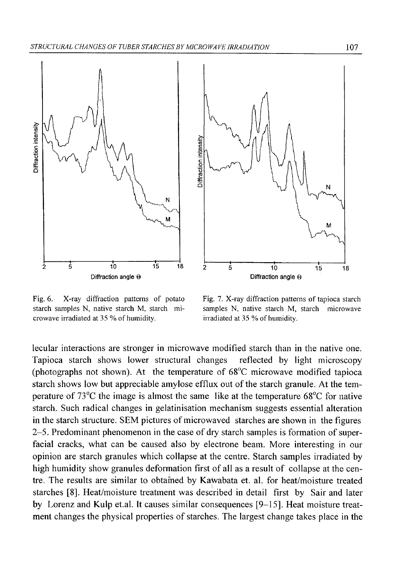



Fig. 6. X-ray diffraction patterns of potato Fig. 7. X-ray diffraction patterns of tapioca starch **crowave irradiated at 35 % of humidity. irradiated at 35 % of humidity.** 

**starch samples N, native starch M, starch mi- samples N, native starch M, starch microwave**

lecular interactions are stronger in microwave modified starch than in the native one. Tapioca starch shows lower structural changes reflected by light microscopy (photographs not shown). At the temperature of 68°C microwave modified tapioca starch shows low but appreciable amylose efflux out of the starch granule. At the temperature of 73°C the image is almost the same like at the temperature 68°C for native starch. Such radical changes in gelatinisation mechanism suggests essential alteration in the starch structure. SEM pictures of microwaved starches are shown in the figures 2-5. Predominant phenomenon in the case of dry starch samples is formation of superfacial cracks, what can be caused also by electrone beam. More interesting in our opinion are starch granules which collapse at the centre. Starch samples irradiated by high humidity show granules deformation first of all as a result of collapse at the centre. The results are similar to obtained by Kawabata et. al. for heat/moisture treated starches [8]. Heat/moisture treatment was described in detail first by Sair and later by Lorenz and Kulp et.al. It causes similar consequences [9-15]. Heat moisture treatment changes the physical properties of starches. The largest change takes place in the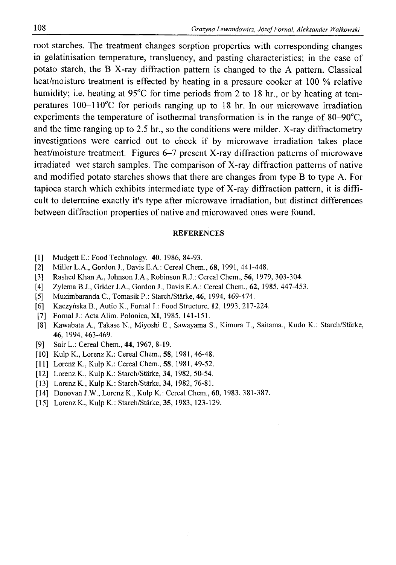root starches. The treatment changes sorption properties with corresponding changes in gelatinisation temperature, transluency, and pasting characteristics; in the case of potato starch, the B X-ray diffraction pattern is changed to the A pattern. Classical heat/moisture treatment is effected by heating in a pressure cooker at 100 *%* relative humidity; i.e. heating at 95<sup>o</sup>C for time periods from 2 to 18 hr., or by heating at temperatures 100-110°C for periods ranging up to 18 hr. In our microwave irradiation experiments the temperature of isothermal transformation is in the range of 80-90°C, and the time ranging up to 2.5 hr., so the conditions were milder. X-ray diffractometry investigations were carried out to check if by microwave irradiation takes place heat/moisture treatment. Figures 6-7 present X-ray diffraction patterns of microwave irradiated wet starch samples. The comparison of X-ray diffraction patterns of native and modified potato starches shows that there are changes from type B to type A. For tapioca starch which exhibits intermediate type of X-ray diffraction pattern, it is difficult to determine exactly it's type after microwave irradiation, but distinct differences between diffraction properties of native and microwaved ones were found.

#### **REFERENCES**

- **[1] Mudgett E.: Food Technology, 40,1986,84-93.**
- **[2] Miller L.A., Gordon J., Davis E.A.: Cereal Chem., 68, 1991, 441-448.**
- **[3] Rashed Khan A., Johnson J.A., Robinson R.J.: Cereal Chem., 56, 1979, 303-304.**
- **[4] Zylema B.J., Grider J.A., Gordon J., Davis E.A.: Cereal Chem., 62, 1985, 447-453.**
- **[5] Muzimbaranda C., Tomasik P.: Starch/Starke, 46, 1994, 469-474.**
- **[6] Kaczyńska B., Autio K., Fornal J.: Food Structure, 12, 1993, 217-224.**
- **[7] Fornal J.: Acta Alim. Polonica, XI, 1985, 141-151.**
- **[8] Kawabata A., Takase N., Miyoshi E., Sawayama S., Kimura T., Saitama., Kudo K.: Starch/Starke, 46, 1994, 463-469.**
- **[9] Sair L.: Cereal Chem., 44, 1967, 8-19.**
- **[10] Kulp K., Lorenz K.: Cereal Chem., 58, 1981, 46-48.**
- **[11] Lorenz K., Kulp K.: Cereal Chem., 58, 1981, 49-52.**
- [12] Lorenz K., Kulp K.: Starch/Stärke, 34, 1982, 50-54.
- **[13] Lorenz K., Kulp K.: Starch/Starke, 34, 1982, 76-81.**
- **[14] Donovan J.W., Lorenz K., Kulp K.: Cereal Chem., 60, 1983, 381-387.**
- **[15] Lorenz K., Kulp K.: Starch/Starke, 35, 1983, 123-129.**